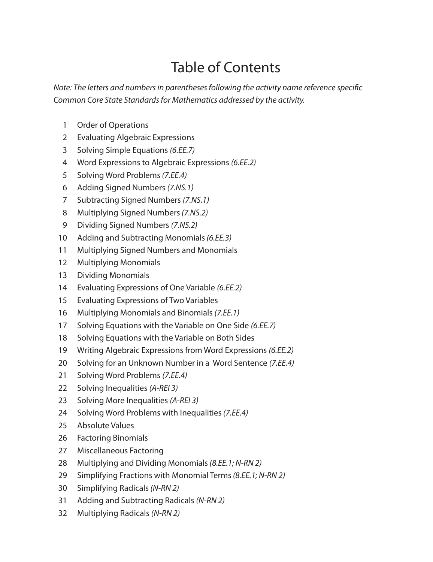## Table of Contents

*Note: The letters and numbers in parentheses following the activity name reference specific Common Core State Standards for Mathematics addressed by the activity.*

- Order of Operations
- Evaluating Algebraic Expressions
- Solving Simple Equations *(6.EE.7)*
- Word Expressions to Algebraic Expressions *(6.EE.2)*
- Solving Word Problems *(7.EE.4)*
- Adding Signed Numbers *(7.NS.1)*
- Subtracting Signed Numbers *(7.NS.1)*
- Multiplying Signed Numbers *(7.NS.2)*
- Dividing Signed Numbers *(7.NS.2)*
- Adding and Subtracting Monomials *(6.EE.3)*
- Multiplying Signed Numbers and Monomials
- Multiplying Monomials
- Dividing Monomials
- Evaluating Expressions of One Variable *(6.EE.2)*
- Evaluating Expressions of Two Variables
- Multiplying Monomials and Binomials *(7.EE.1)*
- Solving Equations with the Variable on One Side *(6.EE.7)*
- Solving Equations with the Variable on Both Sides
- Writing Algebraic Expressions from Word Expressions *(6.EE.2)*
- Solving for an Unknown Number in a Word Sentence *(7.EE.4)*
- Solving Word Problems *(7.EE.4)*
- Solving Inequalities *(A-REI 3)*
- Solving More Inequalities *(A-REI 3)*
- Solving Word Problems with Inequalities *(7.EE.4)*
- Absolute Values
- Factoring Binomials
- Miscellaneous Factoring
- Multiplying and Dividing Monomials *(8.EE.1; N-RN 2)*
- Simplifying Fractions with Monomial Terms *(8.EE.1; N-RN 2)*
- Simplifying Radicals *(N-RN 2)*
- Adding and Subtracting Radicals *(N-RN 2)*
- Multiplying Radicals *(N-RN 2)*